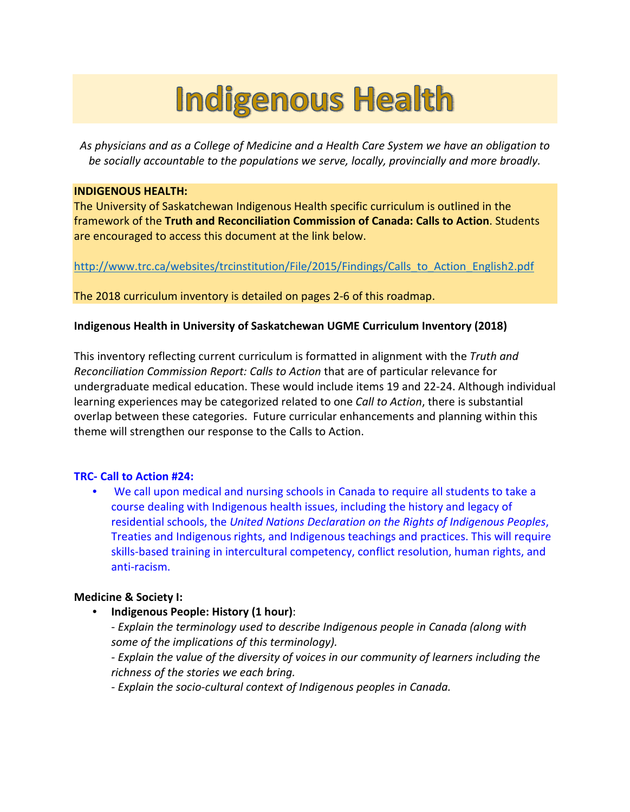# **Indigenous Health**

*As physicians and as a College of Medicine and a Health Care System we have an obligation to be socially accountable to the populations we serve, locally, provincially and more broadly.* 

#### **INDIGENOUS HEALTH:**

The University of Saskatchewan Indigenous Health specific curriculum is outlined in the framework of the **Truth and Reconciliation Commission of Canada: Calls to Action**. Students are encouraged to access this document at the link below.

[http://www.trc.ca/websites/trcinstitution/File/2015/Findings/Calls\\_to\\_Action\\_English2.pdf](http://www.trc.ca/websites/trcinstitution/File/2015/Findings/Calls_to_Action_English2.pdf)

The 2018 curriculum inventory is detailed on pages 2-6 of this roadmap.

#### **Indigenous Health in University of Saskatchewan UGME Curriculum Inventory (2018)**

This inventory reflecting current curriculum is formatted in alignment with the *Truth and Reconciliation Commission Report: Calls to Action* that are of particular relevance for undergraduate medical education. These would include items 19 and 22-24. Although individual learning experiences may be categorized related to one *Call to Action*, there is substantial overlap between these categories. Future curricular enhancements and planning within this theme will strengthen our response to the Calls to Action.

#### **TRC- Call to Action #24:**

• We call upon medical and nursing schools in Canada to require all students to take a course dealing with Indigenous health issues, including the history and legacy of residential schools, the *United Nations Declaration on the Rights of Indigenous Peoples*, Treaties and Indigenous rights, and Indigenous teachings and practices. This will require skills-based training in intercultural competency, conflict resolution, human rights, and anti-racism.

#### **Medicine & Society I:**

- **Indigenous People: History (1 hour)**:
	- *Explain the terminology used to describe Indigenous people in Canada (along with some of the implications of this terminology).*
	- *Explain the value of the diversity of voices in our community of learners including the richness of the stories we each bring.*

*- Explain the socio-cultural context of Indigenous peoples in Canada.*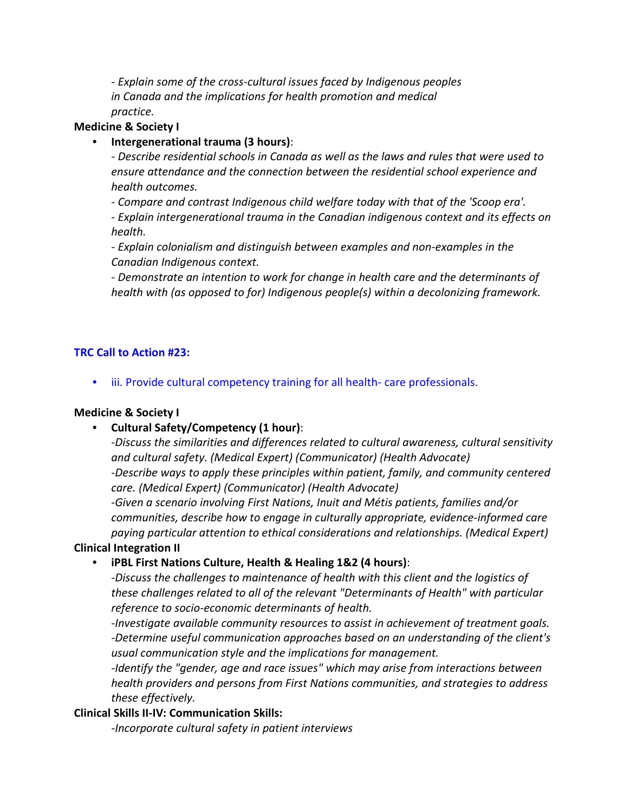*- Explain some of the cross-cultural issues faced by Indigenous peoples in Canada and the implications for health promotion and medical practice.* 

#### **Medicine & Society I**

### • **Intergenerational trauma (3 hours)**:

*- Describe residential schools in Canada as well as the laws and rules that were used to ensure attendance and the connection between the residential school experience and health outcomes.* 

*- Compare and contrast Indigenous child welfare today with that of the 'Scoop era'.* 

*- Explain intergenerational trauma in the Canadian indigenous context and its effects on health.* 

*- Explain colonialism and distinguish between examples and non-examples in the Canadian Indigenous context.* 

*- Demonstrate an intention to work for change in health care and the determinants of health with (as opposed to for) Indigenous people(s) within a decolonizing framework.* 

### **TRC Call to Action #23:**

• iii. Provide cultural competency training for all health- care professionals.

#### **Medicine & Society I**

• **Cultural Safety/Competency (1 hour)**:

*-Discuss the similarities and differences related to cultural awareness, cultural sensitivity and cultural safety. (Medical Expert) (Communicator) (Health Advocate)*  -*Describe ways to apply these principles within patient, family, and community centered* 

*care. (Medical Expert) (Communicator) (Health Advocate)* 

-*Given a scenario involving First Nations, Inuit and Métis patients, families and/or communities, describe how to engage in culturally appropriate, evidence-informed care paying particular attention to ethical considerations and relationships. (Medical Expert)*

### **Clinical Integration II**

### • **iPBL First Nations Culture, Health & Healing 1&2 (4 hours)**:

*-Discuss the challenges to maintenance of health with this client and the logistics of these challenges related to all of the relevant "Determinants of Health" with particular reference to socio-economic determinants of health.* 

*-Investigate available community resources to assist in achievement of treatment goals. -Determine useful communication approaches based on an understanding of the client's usual communication style and the implications for management.* 

*-Identify the "gender, age and race issues" which may arise from interactions between health providers and persons from First Nations communities, and strategies to address these effectively.* 

### **Clinical Skills II-IV: Communication Skills:**

*-Incorporate cultural safety in patient interviews*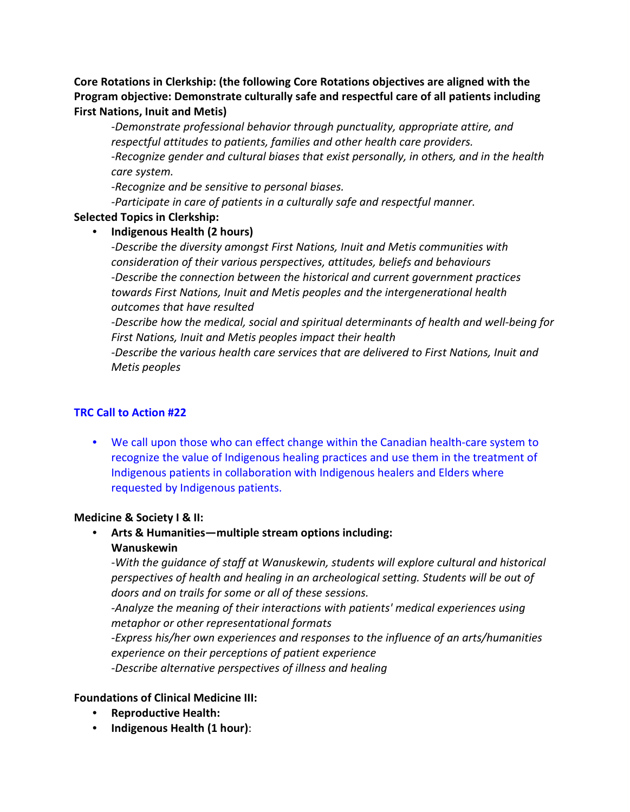**Core Rotations in Clerkship: (the following Core Rotations objectives are aligned with the Program objective: Demonstrate culturally safe and respectful care of all patients including First Nations, Inuit and Metis)**

*-Demonstrate professional behavior through punctuality, appropriate attire, and respectful attitudes to patients, families and other health care providers. -Recognize gender and cultural biases that exist personally, in others, and in the health care system.* 

*-Recognize and be sensitive to personal biases.* 

*-Participate in care of patients in a culturally safe and respectful manner.* 

# **Selected Topics in Clerkship:**

# • **Indigenous Health (2 hours)**

*-Describe the diversity amongst First Nations, Inuit and Metis communities with consideration of their various perspectives, attitudes, beliefs and behaviours -Describe the connection between the historical and current government practices towards First Nations, Inuit and Metis peoples and the intergenerational health outcomes that have resulted*

*-Describe how the medical, social and spiritual determinants of health and well-being for First Nations, Inuit and Metis peoples impact their health*

*-Describe the various health care services that are delivered to First Nations, Inuit and Metis peoples*

## **TRC Call to Action #22**

• We call upon those who can effect change within the Canadian health-care system to recognize the value of Indigenous healing practices and use them in the treatment of Indigenous patients in collaboration with Indigenous healers and Elders where requested by Indigenous patients.

### **Medicine & Society I & II:**

• **Arts & Humanities—multiple stream options including: Wanuskewin**

*-With the guidance of staff at Wanuskewin, students will explore cultural and historical perspectives of health and healing in an archeological setting. Students will be out of doors and on trails for some or all of these sessions.* 

*-Analyze the meaning of their interactions with patients' medical experiences using metaphor or other representational formats*

*-Express his/her own experiences and responses to the influence of an arts/humanities experience on their perceptions of patient experience -Describe alternative perspectives of illness and healing*

- **Foundations of Clinical Medicine III:** 
	- **Reproductive Health:**
	- **Indigenous Health (1 hour)**: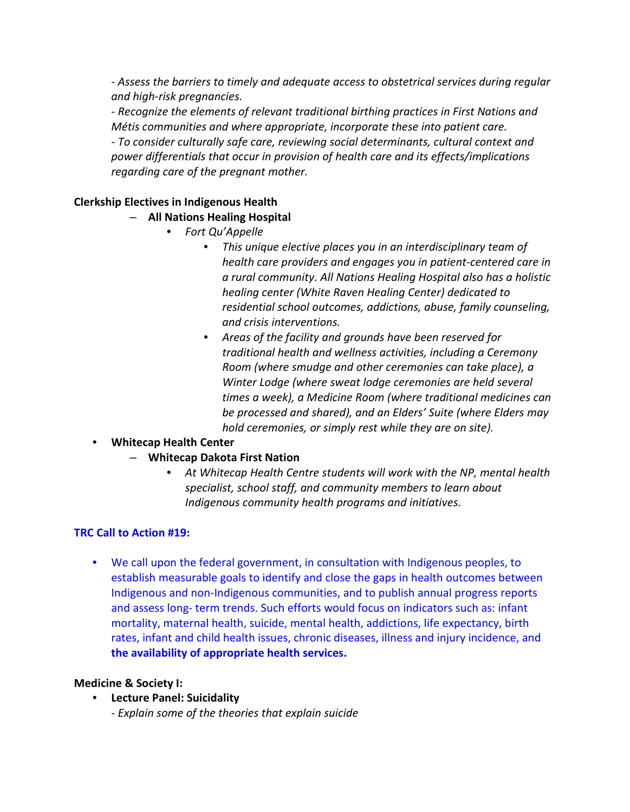- *Assess the barriers to timely and adequate access to obstetrical services during regular and high-risk pregnancies.* 

*- Recognize the elements of relevant traditional birthing practices in First Nations and Métis communities and where appropriate, incorporate these into patient care. - To consider culturally safe care, reviewing social determinants, cultural context and power differentials that occur in provision of health care and its effects/implications regarding care of the pregnant mother.* 

### **Clerkship Electives in Indigenous Health**

- **All Nations Healing Hospital** 
	- *Fort Qu'Appelle* 
		- *This unique elective places you in an interdisciplinary team of health care providers and engages you in patient-centered care in a rural community. All Nations Healing Hospital also has a holistic healing center (White Raven Healing Center) dedicated to residential school outcomes, addictions, abuse, family counseling, and crisis interventions.*
		- *Areas of the facility and grounds have been reserved for traditional health and wellness activities, including a Ceremony Room (where smudge and other ceremonies can take place), a Winter Lodge (where sweat lodge ceremonies are held several times a week), a Medicine Room (where traditional medicines can be processed and shared), and an Elders' Suite (where Elders may hold ceremonies, or simply rest while they are on site).*

### • **Whitecap Health Center**

### – **Whitecap Dakota First Nation**

• *At Whitecap Health Centre students will work with the NP, mental health specialist, school staff, and community members to learn about Indigenous community health programs and initiatives.* 

### **TRC Call to Action #19:**

• We call upon the federal government, in consultation with Indigenous peoples, to establish measurable goals to identify and close the gaps in health outcomes between Indigenous and non-Indigenous communities, and to publish annual progress reports and assess long- term trends. Such efforts would focus on indicators such as: infant mortality, maternal health, suicide, mental health, addictions, life expectancy, birth rates, infant and child health issues, chronic diseases, illness and injury incidence, and **the availability of appropriate health services.** 

### **Medicine & Society I:**

- **Lecture Panel: Suicidality** 
	- *Explain some of the theories that explain suicide*